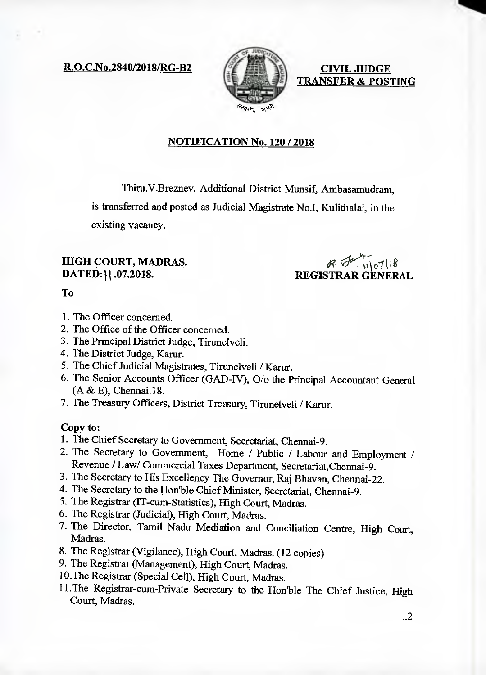**R.O.C.No.2840/2018/RG-B2** *[Celements]* **CIVIL JUDGE** 



**TRANSFER & POSTING** 

## **NOTIFICATION No. 120 / 2018**

Thiru.V.Breznev, Additional District Munsif, Ambasamudram,

is transferred and posted as Judicial Magistrate No.I, Kulithalai, in the

existing vacancy.

## **HIGH COURT, MADRAS. DATED: 11 .07.2018.**

**ig REGISTRAR GENERAL** 

**To** 

- 1. The Officer concerned.
- 2. The Office of the Officer concerned.
- 3. The Principal District Judge, Tirunelveli.
- 4. The District Judge, Karur.
- 5. The Chief Judicial Magistrates, Tirunelveli / Karur.
- 6. The Senior Accounts Officer (GAD-IV), 0/o the Principal Accountant General (A & E), Chennai.18.
- 7. The Treasury Officers, District Treasury, Tirunelveli / Karur.

#### **Copy to:**

- 1. The Chief Secretary to Government, Secretariat, Chennai-9.
- 2. The Secretary to Government, Home / Public / Labour and Employment / Revenue / Law/ Commercial Taxes Department, Secretariat,Chennai-9.
- 3. The Secretary to His Excellency The Governor, Raj Bhavan, Chennai-22.
- 4. The Secretary to the Hon'ble Chief Minister, Secretariat, Chennai-9.
- 5. The Registrar (IT-cum-Statistics), High Court, Madras.
- 6. The Registrar (Judicial), High Court, Madras.
- 7. The Director, Tamil Nadu Mediation and Conciliation Centre, High Court, Madras.
- 8. The Registrar (Vigilance), High Court, Madras. (12 copies)
- 9. The Registrar (Management), High Court, Madras.
- 10.The Registrar (Special Cell), High Court, Madras.
- 11.The Registrar-cum-Private Secretary to the Hon'ble The Chief Justice, High Court, Madras.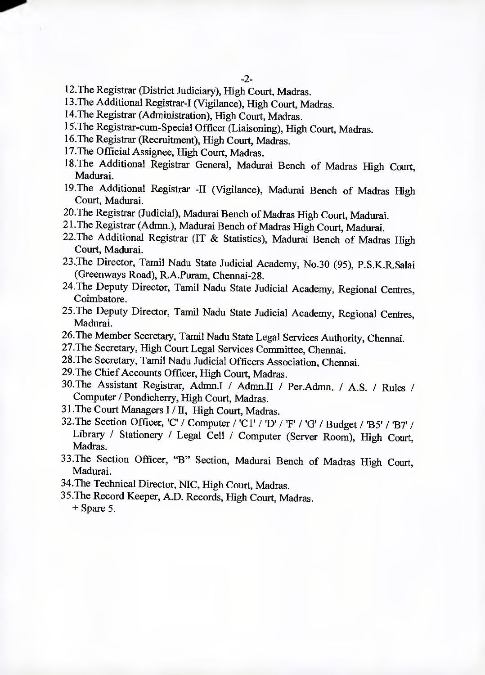- 12.The Registrar (District Judiciary), High Court, Madras.
- 13.The Additional Registrar-I (Vigilance), High Court, Madras.
- 14.The Registrar (Administration), High Court, Madras.
- 15.The Registrar-cum-Special Officer (Liaisoning), High Court, Madras.
- 16.The Registrar (Recruitment), High Court, Madras.
- 17.The Official Assignee, High Court, Madras.
- 18.The Additional Registrar General, Madurai Bench of Madras High Court, Madurai.
- 19.The Additional Registrar -II (Vigilance), Madurai Bench of Madras High Court, Madurai.
- 20.The Registrar (Judicial), Madurai Bench of Madras High Court, Madurai.
- 21.The Registrar (Admn.), Madurai Bench of Madras High Court, Madurai.
- 22.The Additional Registrar (IT & Statistics), Madurai Bench of Madras High Court, Madurai.
- 23.The Director, Tamil Nadu State Judicial Academy, No.30 (95), P.S.K.R.Salai (Greenways Road), R.A.Puram, Chennai-28.
- 24.The Deputy Director, Tamil Nadu State Judicial Academy, Regional Centres, Coimbatore.
- 25.The Deputy Director, Tamil Nadu State Judicial Academy, Regional Centres, Madurai.
- 26.The Member Secretary, Tamil Nadu State Legal Services Authority, Chennai.
- 27.The Secretary, High Court Legal Services Committee, Chennai.
- 28.The Secretary, Tamil Nadu Judicial Officers Association, Chennai.
- 29.The Chief Accounts Officer, High Court, Madras.
- 30.The Assistant Registrar, Admn.I / Admn.II / Per.Admn. / A.S. / Rules / Computer / Pondicherry, High Court, Madras.
- 31.The Court Managers I / II, High Court, Madras.
- 32. The Section Officer, 'C' / Computer / 'Cl' / 'D' / 'F' / 'G' / Budget / 'B5' / 'B7' / Library / Stationery / Legal Cell / Computer (Server Room), High Court, Madras.
- 33.The Section Officer, "B" Section, Madurai Bench of Madras High Court, Madurai.
- 34.The Technical Director, MC, High Court, Madras.
- 35.The Record Keeper, A.D. Records, High Court, Madras. + Spare 5.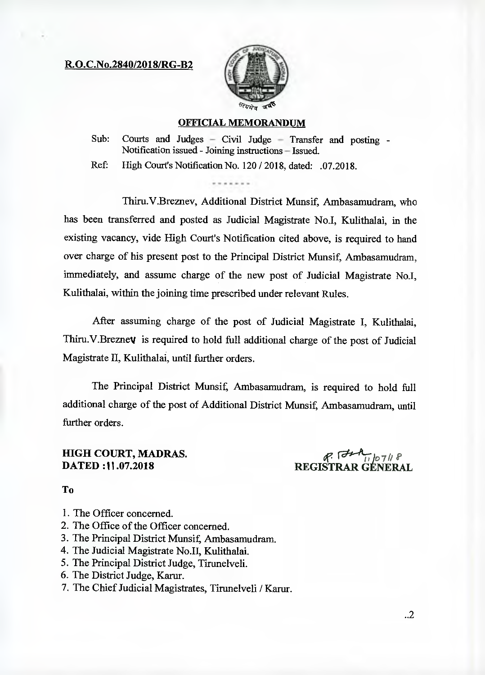#### **R.O.C.No.2840/2018/RG-B2**



#### **OFFICIAL MEMORANDUM**

Sub: Courts and Judges – Civil Judge – Transfer and posting -Notification issued - Joining instructions — Issued.

Ref: High Court's Notification No. 120 / 2018, dated: .07.2018.

Thiru.V.Breznev, Additional District Munsif, Ambasamudram, who has been transferred and posted as Judicial Magistrate No.I, Kulithalai, in the existing vacancy, vide High Court's Notification cited above, is required to hand over charge of his present post to the Principal District Munsif, Ambasamudram, immediately, and assume charge of the new post of Judicial Magistrate No.I, Kulithalai, within the joining time prescribed under relevant Rules.

After assuming charge of the post of Judicial Magistrate I, Kulithalai, Thiru.V.Breznev is required to hold full additional charge of the post of Judicial Magistrate II, Kulithalai, until further orders.

The Principal District Munsif, Ambasamudram, is required to hold full additional charge of the post of Additional District Munsif, Ambasamudram, until further orders.

### **HIGH COURT, MADRAS. DATED :11.07.2018**

*or* ..-n\_\_711 *<sup>P</sup>* **REGISTRAR GENERAL** 

**To** 

- 1. The Officer concerned.
- 2. The Office of the Officer concerned.
- 3. The Principal District Munsif, Ambasamudram.
- 4. The Judicial Magistrate No.II, Kulithalai.
- 5. The Principal District Judge, Tirunelveli.
- 6. The District Judge, Karur.
- 7. The Chief Judicial Magistrates, Tirunelveli / Karur.